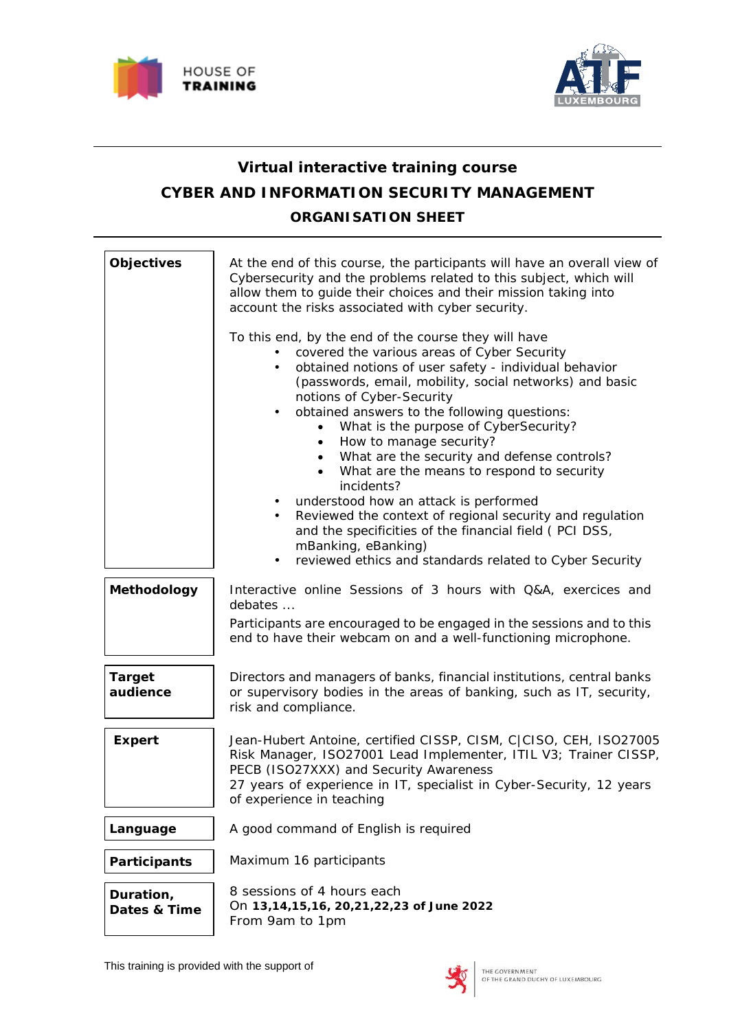



# **Virtual interactive training course CYBER AND INFORMATION SECURITY MANAGEMENT ORGANISATION SHEET**

| <b>Objectives</b>         | At the end of this course, the participants will have an overall view of<br>Cybersecurity and the problems related to this subject, which will<br>allow them to guide their choices and their mission taking into<br>account the risks associated with cyber security.                                                                                                                                                                                                                                                                                                                                                                                                                                                                                                          |
|---------------------------|---------------------------------------------------------------------------------------------------------------------------------------------------------------------------------------------------------------------------------------------------------------------------------------------------------------------------------------------------------------------------------------------------------------------------------------------------------------------------------------------------------------------------------------------------------------------------------------------------------------------------------------------------------------------------------------------------------------------------------------------------------------------------------|
|                           | To this end, by the end of the course they will have<br>covered the various areas of Cyber Security<br>obtained notions of user safety - individual behavior<br>$\bullet$<br>(passwords, email, mobility, social networks) and basic<br>notions of Cyber-Security<br>obtained answers to the following questions:<br>$\bullet$<br>What is the purpose of CyberSecurity?<br>How to manage security?<br>What are the security and defense controls?<br>What are the means to respond to security<br>incidents?<br>understood how an attack is performed<br>Reviewed the context of regional security and regulation<br>$\bullet$<br>and the specificities of the financial field (PCI DSS,<br>mBanking, eBanking)<br>reviewed ethics and standards related to Cyber Security<br>٠ |
| Methodology               | Interactive online Sessions of 3 hours with Q&A, exercices and<br>debates<br>Participants are encouraged to be engaged in the sessions and to this                                                                                                                                                                                                                                                                                                                                                                                                                                                                                                                                                                                                                              |
|                           | end to have their webcam on and a well-functioning microphone.                                                                                                                                                                                                                                                                                                                                                                                                                                                                                                                                                                                                                                                                                                                  |
| <b>Target</b><br>audience | Directors and managers of banks, financial institutions, central banks<br>or supervisory bodies in the areas of banking, such as IT, security,<br>risk and compliance.                                                                                                                                                                                                                                                                                                                                                                                                                                                                                                                                                                                                          |
| <b>Expert</b>             | Jean-Hubert Antoine, certified CISSP, CISM, C CISO, CEH, ISO27005<br>Risk Manager, ISO27001 Lead Implementer, ITIL V3; Trainer CISSP,<br>PECB (ISO27XXX) and Security Awareness<br>27 years of experience in IT, specialist in Cyber-Security, 12 years<br>of experience in teaching                                                                                                                                                                                                                                                                                                                                                                                                                                                                                            |
| Language                  | A good command of English is required                                                                                                                                                                                                                                                                                                                                                                                                                                                                                                                                                                                                                                                                                                                                           |
| Participants              | Maximum 16 participants                                                                                                                                                                                                                                                                                                                                                                                                                                                                                                                                                                                                                                                                                                                                                         |
| Duration,<br>Dates & Time | 8 sessions of 4 hours each<br>On 13,14,15,16, 20,21,22,23 of June 2022<br>From 9am to 1pm                                                                                                                                                                                                                                                                                                                                                                                                                                                                                                                                                                                                                                                                                       |

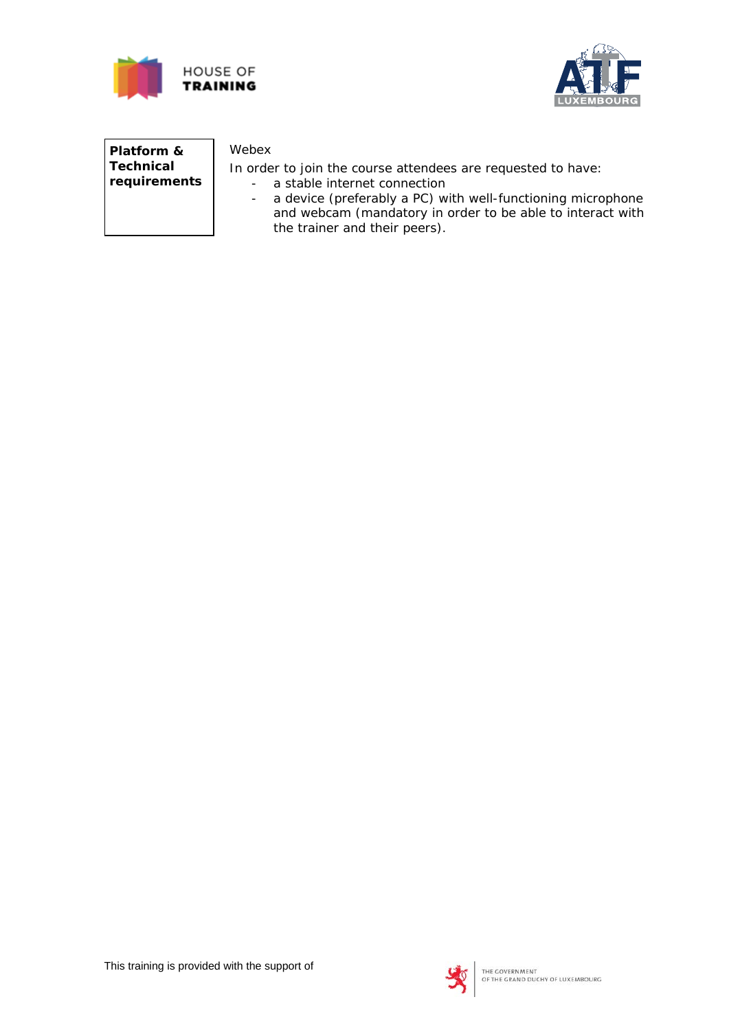



**Platform & Technical requirements**

## Webex

In order to join the course attendees are requested to have:

- a stable internet connection
- a device (preferably a PC) with well-functioning microphone and webcam (mandatory in order to be able to interact with the trainer and their peers).